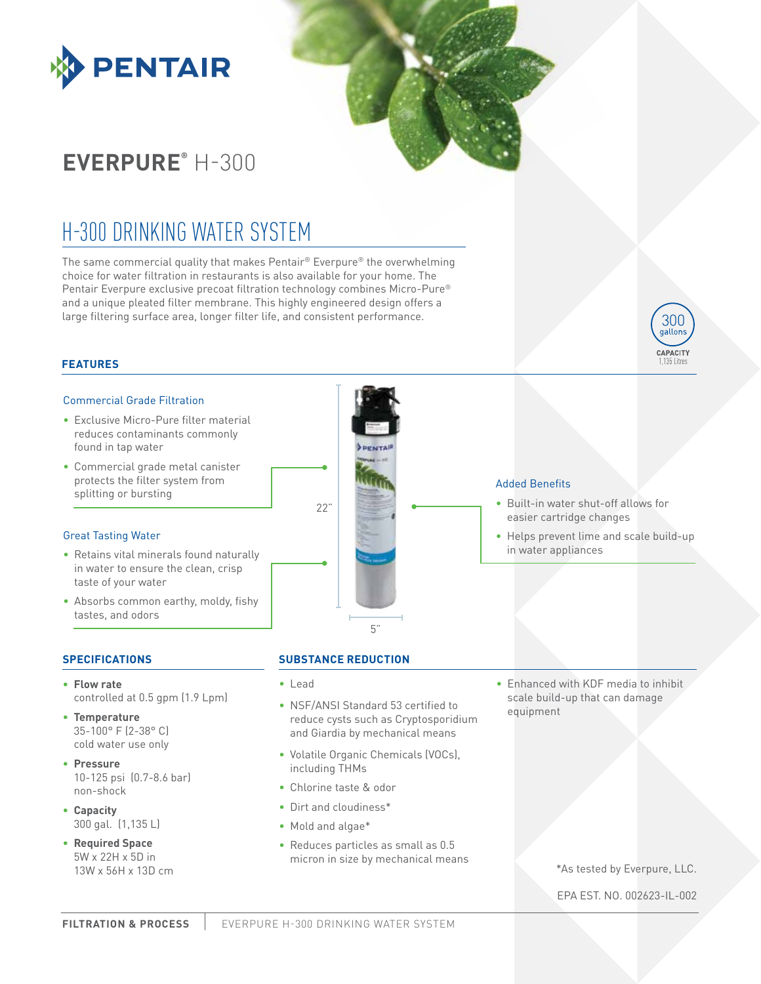

# **EVERPURE®H-300**

## H-300 DRINKING WATER SYSTEM

The same commercial quality that makes Pentair® Everpure® the overwhelming choice for water filtration in restaurants is also available for your home. The Pentair Everpure exclusive precoat filtration technology combines Micro-Pure® and a unique pleated filter membrane. This highly engineered design offers a large filtering surface area, longer filter life, and consistent performance.

## **FEATURES**

#### Commercial Grade Filtration

- Exclusive Micro-Pure filter material reduces contaminants commonly found in tap water
- Commercial grade metal canister protects the filter system from splitting or bursting

#### Great Tasting Water

- Retains vital minerals found naturally in water to ensure the clean, crisp taste of your water
- Absorbs common earthy, moldy, fishy tastes, and odors

#### **SPECIFICATIONS**

- **Flow rate**  controlled at 0.5 gpm (1.9 Lpm)
- **Temperature**  35-100° F (2-38° C) cold water use only
- **Pressure** 10-125 psi (0.7-8.6 bar) non-shock
- **Capacity** 300 gal. (1,135 L)
- **Required Space** 5W x 22H x 5D in 13W x 56H x 13D cm

#### **SUBSTANCE REDUCTION**

 $22"$ 

- Lead
- NSF/ANSI Standard 53 certified to reduce cysts such as Cryptosporidium and Giardia by mechanical means

5"

- Volatile Organic Chemicals (VOCs), including THMs
- Chlorine taste & odor
- Dirt and cloudiness\*
- Mold and algae\*
- Reduces particles as small as 0.5 micron in size by mechanical means

• Enhanced with KDF media to inhibit scale build-up that can damage equipment

• Built-in water shut-off allows for easier cartridge changes

• Helps prevent lime and scale build-up

Added Benefits

in water appliances

\*As tested by Everpure, LLC.

EPA EST. NO. 002623-IL-002